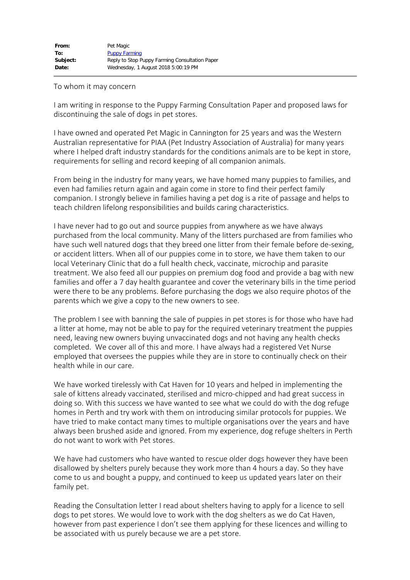## To whom it may concern

I am writing in response to the Puppy Farming Consultation Paper and proposed laws for discontinuing the sale of dogs in pet stores.

I have owned and operated Pet Magic in Cannington for 25 years and was the Western Australian representative for PIAA (Pet Industry Association of Australia) for many years where I helped draft industry standards for the conditions animals are to be kept in store, requirements for selling and record keeping of all companion animals.

From being in the industry for many years, we have homed many puppies to families, and even had families return again and again come in store to find their perfect family companion. I strongly believe in families having a pet dog is a rite of passage and helps to teach children lifelong responsibilities and builds caring characteristics.

I have never had to go out and source puppies from anywhere as we have always purchased from the local community. Many of the litters purchased are from families who have such well natured dogs that they breed one litter from their female before de-sexing, or accident litters. When all of our puppies come in to store, we have them taken to our local Veterinary Clinic that do a full health check, vaccinate, microchip and parasite treatment. We also feed all our puppies on premium dog food and provide a bag with new families and offer a 7 day health guarantee and cover the veterinary bills in the time period were there to be any problems. Before purchasing the dogs we also require photos of the parents which we give a copy to the new owners to see.

The problem I see with banning the sale of puppies in pet stores is for those who have had a litter at home, may not be able to pay for the required veterinary treatment the puppies need, leaving new owners buying unvaccinated dogs and not having any health checks completed. We cover all of this and more. I have always had a registered Vet Nurse employed that oversees the puppies while they are in store to continually check on their health while in our care.

We have worked tirelessly with Cat Haven for 10 years and helped in implementing the sale of kittens already vaccinated, sterilised and micro-chipped and had great success in doing so. With this success we have wanted to see what we could do with the dog refuge homes in Perth and try work with them on introducing similar protocols for puppies. We have tried to make contact many times to multiple organisations over the years and have always been brushed aside and ignored. From my experience, dog refuge shelters in Perth do not want to work with Pet stores.

We have had customers who have wanted to rescue older dogs however they have been disallowed by shelters purely because they work more than 4 hours a day. So they have come to us and bought a puppy, and continued to keep us updated years later on their family pet.

Reading the Consultation letter I read about shelters having to apply for a licence to sell dogs to pet stores. We would love to work with the dog shelters as we do Cat Haven, however from past experience I don't see them applying for these licences and willing to be associated with us purely because we are a pet store.